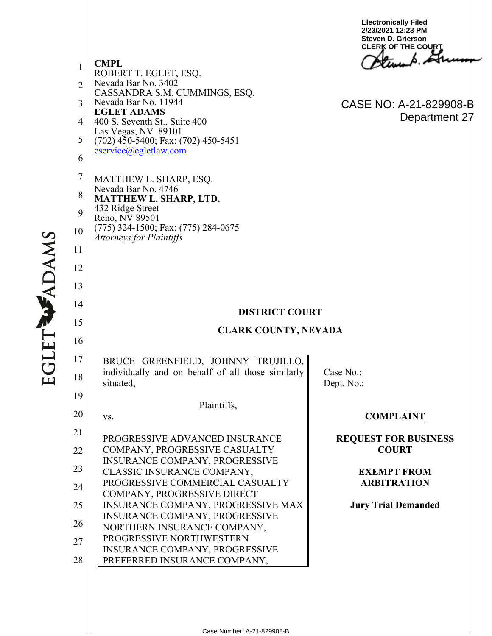1 2 3 4 5 6 7 8 9 10 11 12 13 14 15 16 17 18 19 20 21 22 23 24 25 26 27 28 **CMPL** ROBERT T. EGLET, ESQ. Nevada Bar No. 3402 CASSANDRA S.M. CUMMINGS, ESQ. Nevada Bar No. 11944 **EGLET ADAMS** 400 S. Seventh St., Suite 400 Las Vegas, NV 89101 (702) 450-5400; Fax: (702) 450-5451 [eservice@egletlaw.com](mailto:eservice@egletlaw.com)  MATTHEW L. SHARP, ESQ. Nevada Bar No. 4746 **MATTHEW L. SHARP, LTD.** 432 Ridge Street Reno, NV 89501 (775) 324-1500; Fax: (775) 284-0675 *Attorneys for Plaintiffs* **DISTRICT COURT CLARK COUNTY, NEVADA** BRUCE GREENFIELD, JOHNNY TRUJILLO, individually and on behalf of all those similarly situated, Plaintiffs, vs. PROGRESSIVE ADVANCED INSURANCE COMPANY, PROGRESSIVE CASUALTY INSURANCE COMPANY, PROGRESSIVE CLASSIC INSURANCE COMPANY, PROGRESSIVE COMMERCIAL CASUALTY COMPANY, PROGRESSIVE DIRECT INSURANCE COMPANY, PROGRESSIVE MAX INSURANCE COMPANY, PROGRESSIVE NORTHERN INSURANCE COMPANY, PROGRESSIVE NORTHWESTERN INSURANCE COMPANY, PROGRESSIVE PREFERRED INSURANCE COMPANY, Case No.: Dept. No.: **COMPLAINT REQUEST FOR BUSINESS COURT EXEMPT FROM ARBITRATION Jury Trial Demanded Electronically Filed 2/23/2021 12:23 PM Steven D. Grierson CLERK OF THE COURT** CASE NO: A-21-829908-B Department 27

**EGLET WADAMS**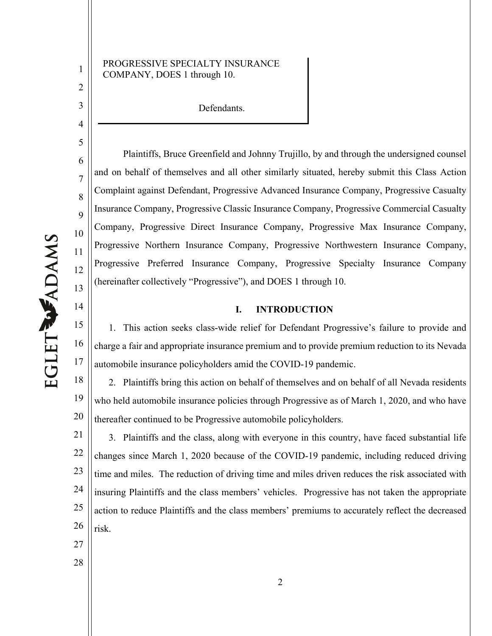1

2

3

4

5

6

7

8

9

10

11

12

13

14

15

16

17

### PROGRESSIVE SPECIALTY INSURANCE COMPANY, DOES 1 through 10.

Defendants.

Plaintiffs, Bruce Greenfield and Johnny Trujillo, by and through the undersigned counsel and on behalf of themselves and all other similarly situated, hereby submit this Class Action Complaint against Defendant, Progressive Advanced Insurance Company, Progressive Casualty Insurance Company, Progressive Classic Insurance Company, Progressive Commercial Casualty Company, Progressive Direct Insurance Company, Progressive Max Insurance Company, Progressive Northern Insurance Company, Progressive Northwestern Insurance Company, Progressive Preferred Insurance Company, Progressive Specialty Insurance Company (hereinafter collectively "Progressive"), and DOES 1 through 10.

### **I. INTRODUCTION**

1. This action seeks class-wide relief for Defendant Progressive's failure to provide and charge a fair and appropriate insurance premium and to provide premium reduction to its Nevada automobile insurance policyholders amid the COVID-19 pandemic.

18 19 20 2. Plaintiffs bring this action on behalf of themselves and on behalf of all Nevada residents who held automobile insurance policies through Progressive as of March 1, 2020, and who have thereafter continued to be Progressive automobile policyholders.

21 22 23 24 25 26 3. Plaintiffs and the class, along with everyone in this country, have faced substantial life changes since March 1, 2020 because of the COVID-19 pandemic, including reduced driving time and miles. The reduction of driving time and miles driven reduces the risk associated with insuring Plaintiffs and the class members' vehicles. Progressive has not taken the appropriate action to reduce Plaintiffs and the class members' premiums to accurately reflect the decreased risk.

- 27
- 28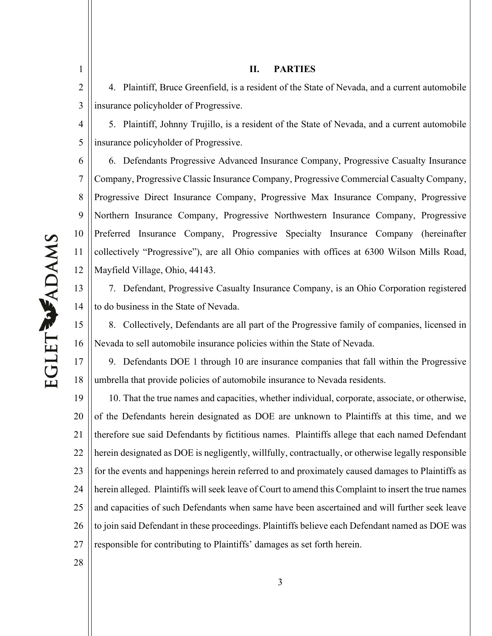2 3 4. Plaintiff, Bruce Greenfield, is a resident of the State of Nevada, and a current automobile insurance policyholder of Progressive.

**II. PARTIES**

4 5 5. Plaintiff, Johnny Trujillo, is a resident of the State of Nevada, and a current automobile insurance policyholder of Progressive.

6 7 8 9 10 11 12 6. Defendants Progressive Advanced Insurance Company, Progressive Casualty Insurance Company, Progressive Classic Insurance Company, Progressive Commercial Casualty Company, Progressive Direct Insurance Company, Progressive Max Insurance Company, Progressive Northern Insurance Company, Progressive Northwestern Insurance Company, Progressive Preferred Insurance Company, Progressive Specialty Insurance Company (hereinafter collectively "Progressive"), are all Ohio companies with offices at 6300 Wilson Mills Road, Mayfield Village, Ohio, 44143.

13 14 7. Defendant, Progressive Casualty Insurance Company, is an Ohio Corporation registered to do business in the State of Nevada.

15 16 8. Collectively, Defendants are all part of the Progressive family of companies, licensed in Nevada to sell automobile insurance policies within the State of Nevada.

17 18 9. Defendants DOE 1 through 10 are insurance companies that fall within the Progressive umbrella that provide policies of automobile insurance to Nevada residents.

19 20 21 22 23 24 25 26 27 10. That the true names and capacities, whether individual, corporate, associate, or otherwise, of the Defendants herein designated as DOE are unknown to Plaintiffs at this time, and we therefore sue said Defendants by fictitious names. Plaintiffs allege that each named Defendant herein designated as DOE is negligently, willfully, contractually, or otherwise legally responsible for the events and happenings herein referred to and proximately caused damages to Plaintiffs as herein alleged. Plaintiffs will seek leave of Court to amend this Complaint to insert the true names and capacities of such Defendants when same have been ascertained and will further seek leave to join said Defendant in these proceedings. Plaintiffs believe each Defendant named as DOE was responsible for contributing to Plaintiffs' damages as set forth herein.

28

# EGLET WADAMS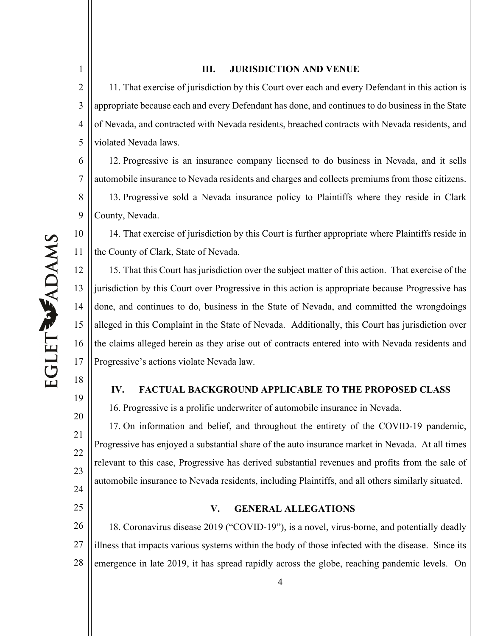### 2 3 4 5 11. That exercise of jurisdiction by this Court over each and every Defendant in this action is appropriate because each and every Defendant has done, and continues to do business in the State of Nevada, and contracted with Nevada residents, breached contracts with Nevada residents, and violated Nevada laws.

**III. JURISDICTION AND VENUE**

6 7 8 9 12. Progressive is an insurance company licensed to do business in Nevada, and it sells automobile insurance to Nevada residents and charges and collects premiums from those citizens. 13. Progressive sold a Nevada insurance policy to Plaintiffs where they reside in Clark County, Nevada.

14. That exercise of jurisdiction by this Court is further appropriate where Plaintiffs reside in the County of Clark, State of Nevada.

12 13 14 15 16 17 15. That this Court has jurisdiction over the subject matter of this action. That exercise of the jurisdiction by this Court over Progressive in this action is appropriate because Progressive has done, and continues to do, business in the State of Nevada, and committed the wrongdoings alleged in this Complaint in the State of Nevada. Additionally, this Court has jurisdiction over the claims alleged herein as they arise out of contracts entered into with Nevada residents and Progressive's actions violate Nevada law.

## **IV. FACTUAL BACKGROUND APPLICABLE TO THE PROPOSED CLASS**

16. Progressive is a prolific underwriter of automobile insurance in Nevada.

17. On information and belief, and throughout the entirety of the COVID-19 pandemic, Progressive has enjoyed a substantial share of the auto insurance market in Nevada. At all times relevant to this case, Progressive has derived substantial revenues and profits from the sale of automobile insurance to Nevada residents, including Plaintiffs, and all others similarly situated.

# **V. GENERAL ALLEGATIONS**

26 27 28 18. Coronavirus disease 2019 ("COVID-19"), is a novel, virus-borne, and potentially deadly illness that impacts various systems within the body of those infected with the disease. Since its emergence in late 2019, it has spread rapidly across the globe, reaching pandemic levels. On

1

10

11

18

19

20

21

22

23

24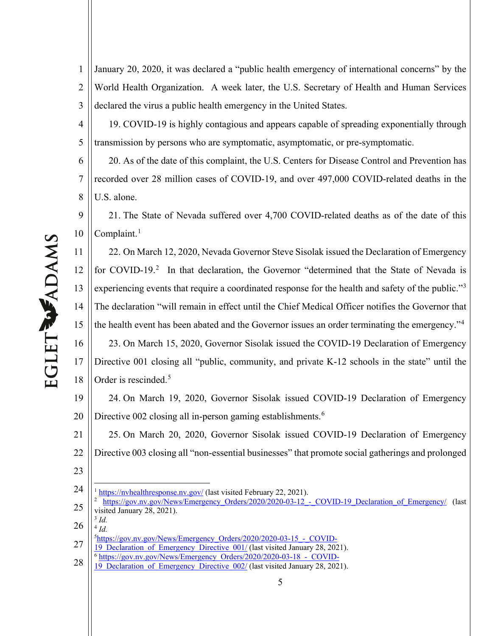1 2 3 January 20, 2020, it was declared a "public health emergency of international concerns" by the World Health Organization. A week later, the U.S. Secretary of Health and Human Services declared the virus a public health emergency in the United States.

19. COVID-19 is highly contagious and appears capable of spreading exponentially through transmission by persons who are symptomatic, asymptomatic, or pre-symptomatic.

6 7 8 20. As of the date of this complaint, the U.S. Centers for Disease Control and Prevention has recorded over 28 million cases of COVID-19, and over 497,000 COVID-related deaths in the U.S. alone.

9 10 21. The State of Nevada suffered over 4,700 COVID-related deaths as of the date of this Complaint. $<sup>1</sup>$  $<sup>1</sup>$  $<sup>1</sup>$ </sup>

11 12 13 14 15 16 17 18 22. On March 12, 2020, Nevada Governor Steve Sisolak issued the Declaration of Emergency for COVID-19.<sup>[2](#page-4-1)</sup> In that declaration, the Governor "determined that the State of Nevada is experiencing events that require a coordinated response for the health and safety of the public."<sup>[3](#page-4-2)</sup> The declaration "will remain in effect until the Chief Medical Officer notifies the Governor that the health event has been abated and the Governor issues an order terminating the emergency."[4](#page-4-3) 23. On March 15, 2020, Governor Sisolak issued the COVID-19 Declaration of Emergency Directive 001 closing all "public, community, and private K-12 schools in the state" until the Order is rescinded. [5](#page-4-4)

19 20 24. On March 19, 2020, Governor Sisolak issued COVID-19 Declaration of Emergency Directive 002 closing all in-person gaming establishments.<sup>[6](#page-4-5)</sup>

21 22 23 25. On March 20, 2020, Governor Sisolak issued COVID-19 Declaration of Emergency Directive 003 closing all "non-essential businesses" that promote social gatherings and prolonged

- <span id="page-4-1"></span>25 <sup>2</sup> https://gov.nv.gov/News/Emergency Orders/2020/2020-03-12 - COVID-19 Declaration of Emergency/ (last visited January 28, 2021).
- <span id="page-4-3"></span><span id="page-4-2"></span>26 <sup>3</sup> *Id.* <sup>4</sup> *Id.*

<span id="page-4-5"></span><span id="page-4-4"></span>27 19 Declaration of Emergency Directive 001/ (last visited January 28, 2021).

4

<span id="page-4-0"></span><sup>24</sup> <sup>1</sup> <https://nvhealthresponse.nv.gov/> (last visited February 22, 2021).

<sup>5</sup>[https://gov.nv.gov/News/Emergency\\_Orders/2020/2020-03-15\\_-\\_COVID-](https://gov.nv.gov/News/Emergency_Orders/2020/2020-03-15_-_COVID-19_Declaration_of_Emergency_Directive_001/)

<sup>28</sup> <sup>6</sup> [https://gov.nv.gov/News/Emergency\\_Orders/2020/2020-03-18\\_-\\_COVID-](https://gov.nv.gov/News/Emergency_Orders/2020/2020-03-18_-_COVID-19_Declaration_of_Emergency_Directive_002/)

<sup>19</sup> Declaration of Emergency Directive 002/ (last visited January 28, 2021).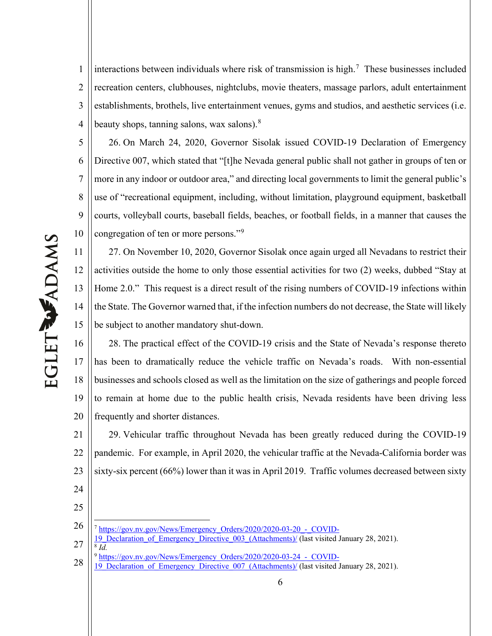1 2 3 4 interactions between individuals where risk of transmission is high.<sup>[7](#page-5-0)</sup> These businesses included recreation centers, clubhouses, nightclubs, movie theaters, massage parlors, adult entertainment establishments, brothels, live entertainment venues, gyms and studios, and aesthetic services (i.e. beauty shops, tanning salons, wax salons).<sup>[8](#page-5-1)</sup>

5 6 7 8 9 10 26. On March 24, 2020, Governor Sisolak issued COVID-19 Declaration of Emergency Directive 007, which stated that "[t]he Nevada general public shall not gather in groups of ten or more in any indoor or outdoor area," and directing local governments to limit the general public's use of "recreational equipment, including, without limitation, playground equipment, basketball courts, volleyball courts, baseball fields, beaches, or football fields, in a manner that causes the congregation of ten or more persons."<sup>[9](#page-5-2)</sup>

11 12 13 14 15 27. On November 10, 2020, Governor Sisolak once again urged all Nevadans to restrict their activities outside the home to only those essential activities for two (2) weeks, dubbed "Stay at Home 2.0." This request is a direct result of the rising numbers of COVID-19 infections within the State. The Governor warned that, if the infection numbers do not decrease, the State will likely be subject to another mandatory shut-down.

16 17 18 19 20 28. The practical effect of the COVID-19 crisis and the State of Nevada's response thereto has been to dramatically reduce the vehicle traffic on Nevada's roads. With non-essential businesses and schools closed as well as the limitation on the size of gatherings and people forced to remain at home due to the public health crisis, Nevada residents have been driving less frequently and shorter distances.

21 22 23 29. Vehicular traffic throughout Nevada has been greatly reduced during the COVID-19 pandemic. For example, in April 2020, the vehicular traffic at the Nevada-California border was sixty-six percent (66%) lower than it was in April 2019. Traffic volumes decreased between sixty

- <span id="page-5-0"></span>26 <sup>7</sup> [https://gov.nv.gov/News/Emergency\\_Orders/2020/2020-03-20\\_-\\_COVID-](https://gov.nv.gov/News/Emergency_Orders/2020/2020-03-20_-_COVID-19_Declaration_of_Emergency_Directive_003_(Attachments)/)
- <span id="page-5-1"></span>27 [19\\_Declaration\\_of\\_Emergency\\_Directive\\_003\\_\(Attachments\)/](https://gov.nv.gov/News/Emergency_Orders/2020/2020-03-20_-_COVID-19_Declaration_of_Emergency_Directive_003_(Attachments)/) (last visited January 28, 2021). <sup>8</sup> *Id.*
- <span id="page-5-2"></span>28 9 https://gov.nv.gov/News/Emergency\_Orders/2020/2020-03-24 - COVID-
- 19 Declaration of Emergency Directive 007 (Attachments)/ (last visited January 28, 2021).

24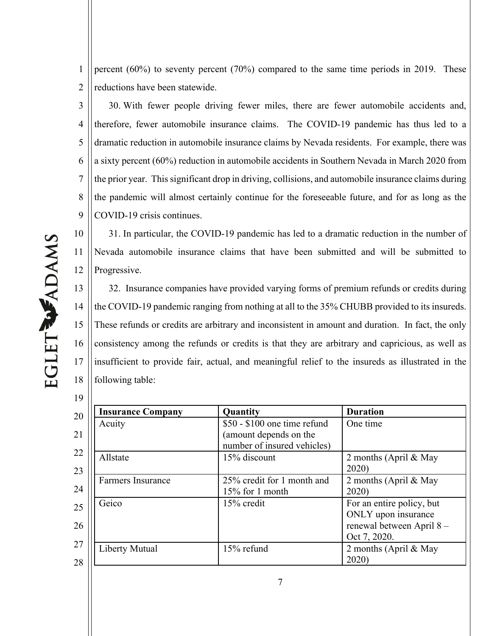1 2 percent (60%) to seventy percent (70%) compared to the same time periods in 2019. These reductions have been statewide.

3 4 5 6 7 8 9 30. With fewer people driving fewer miles, there are fewer automobile accidents and, therefore, fewer automobile insurance claims. The COVID-19 pandemic has thus led to a dramatic reduction in automobile insurance claims by Nevada residents. For example, there was a sixty percent (60%) reduction in automobile accidents in Southern Nevada in March 2020 from the prior year. This significant drop in driving, collisions, and automobile insurance claims during the pandemic will almost certainly continue for the foreseeable future, and for as long as the COVID-19 crisis continues.

EGLETWADAMS

11

19

10 12 31. In particular, the COVID-19 pandemic has led to a dramatic reduction in the number of Nevada automobile insurance claims that have been submitted and will be submitted to Progressive.

13 14 15 16 17 18 32. Insurance companies have provided varying forms of premium refunds or credits during the COVID-19 pandemic ranging from nothing at all to the 35% CHUBB provided to its insureds. These refunds or credits are arbitrary and inconsistent in amount and duration. In fact, the only consistency among the refunds or credits is that they are arbitrary and capricious, as well as insufficient to provide fair, actual, and meaningful relief to the insureds as illustrated in the following table:

20 21 22 23 24 25 26 27 28 **Insurance Company Quantity Duration** Acuity 850 - \$100 one time refund (amount depends on the number of insured vehicles) One time Allstate 15% discount 2 months (April & May 2020) Farmers Insurance 25% credit for 1 month and 15% for 1 month 2 months (April & May 2020) Geico 15% credit For an entire policy, but ONLY upon insurance renewal between April 8 – Oct 7, 2020. Liberty Mutual 15% refund 2 months (April & May 2020)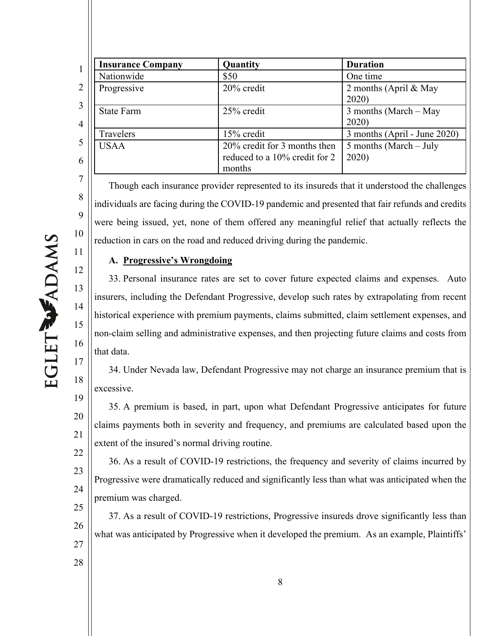| <b>Insurance Company</b> | <b>Quantity</b>                                                         | <b>Duration</b>                  |
|--------------------------|-------------------------------------------------------------------------|----------------------------------|
| Nationwide               | \$50                                                                    | One time                         |
| Progressive              | 20% credit                                                              | 2 months (April & May<br>2020    |
| <b>State Farm</b>        | 25% credit                                                              | 3 months (March $-$ May<br>2020  |
| Travelers                | 15% credit                                                              | 3 months (April - June 2020)     |
| USAA                     | 20% credit for 3 months then<br>reduced to a 10% credit for 2<br>months | 5 months (March $-$ July<br>2020 |

Though each insurance provider represented to its insureds that it understood the challenges individuals are facing during the COVID-19 pandemic and presented that fair refunds and credits were being issued, yet, none of them offered any meaningful relief that actually reflects the reduction in cars on the road and reduced driving during the pandemic.

# **A. Progressive's Wrongdoing**

33. Personal insurance rates are set to cover future expected claims and expenses. Auto insurers, including the Defendant Progressive, develop such rates by extrapolating from recent historical experience with premium payments, claims submitted, claim settlement expenses, and non-claim selling and administrative expenses, and then projecting future claims and costs from that data.

34. Under Nevada law, Defendant Progressive may not charge an insurance premium that is excessive.

35. A premium is based, in part, upon what Defendant Progressive anticipates for future claims payments both in severity and frequency, and premiums are calculated based upon the extent of the insured's normal driving routine.

22 23 24 36. As a result of COVID-19 restrictions, the frequency and severity of claims incurred by Progressive were dramatically reduced and significantly less than what was anticipated when the premium was charged.

25 26 27 37. As a result of COVID-19 restrictions, Progressive insureds drove significantly less than what was anticipated by Progressive when it developed the premium. As an example, Plaintiffs'

8

9

10

11

12

13

14

15

16

17

18

19

20

21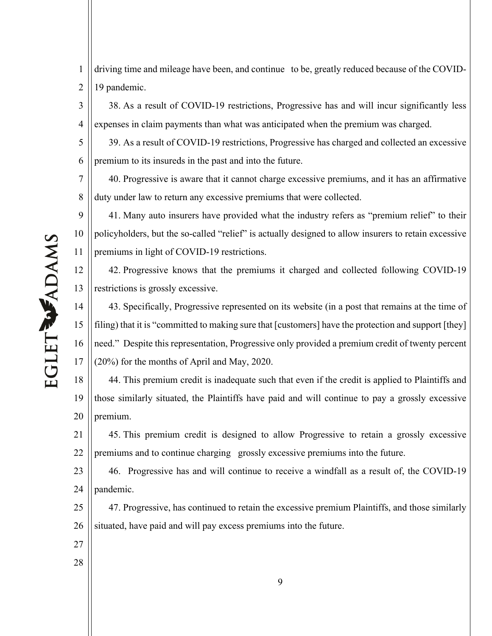driving time and mileage have been, and continue to be, greatly reduced because of the COVID-19 pandemic.

38. As a result of COVID-19 restrictions, Progressive has and will incur significantly less expenses in claim payments than what was anticipated when the premium was charged.

39. As a result of COVID-19 restrictions, Progressive has charged and collected an excessive premium to its insureds in the past and into the future.

7 40. Progressive is aware that it cannot charge excessive premiums, and it has an affirmative duty under law to return any excessive premiums that were collected.

9 10 11 41. Many auto insurers have provided what the industry refers as "premium relief" to their policyholders, but the so-called "relief" is actually designed to allow insurers to retain excessive premiums in light of COVID-19 restrictions.

42. Progressive knows that the premiums it charged and collected following COVID-19 restrictions is grossly excessive.

14 15 16 17 43. Specifically, Progressive represented on its website (in a post that remains at the time of filing) that it is "committed to making sure that [customers] have the protection and support [they] need." Despite this representation, Progressive only provided a premium credit of twenty percent (20%) for the months of April and May, 2020.

18 19 20 44. This premium credit is inadequate such that even if the credit is applied to Plaintiffs and those similarly situated, the Plaintiffs have paid and will continue to pay a grossly excessive premium.

21 22 45. This premium credit is designed to allow Progressive to retain a grossly excessive premiums and to continue charging grossly excessive premiums into the future.

23 24 46. Progressive has and will continue to receive a windfall as a result of, the COVID-19 pandemic.

25 26 47. Progressive, has continued to retain the excessive premium Plaintiffs, and those similarly situated, have paid and will pay excess premiums into the future.

- 27
- 28

EGLET WADAMS

1

2

3

4

5

6

8

12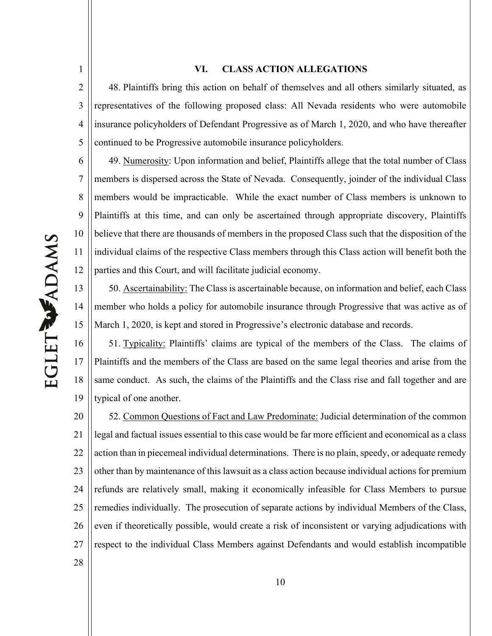1

### **VI. CLASS ACTION ALLEGATIONS**

2 3 4 5 48. Plaintiffs bring this action on behalf of themselves and all others similarly situated, as representatives of the following proposed class: All Nevada residents who were automobile insurance policyholders of Defendant Progressive as of March 1, 2020, and who have thereafter continued to be Progressive automobile insurance policyholders.

6 7 8 9 10 11 12 49. Numerosity: Upon information and belief, Plaintiffs allege that the total number of Class members is dispersed across the State of Nevada. Consequently, joinder of the individual Class members would be impracticable. While the exact number of Class members is unknown to Plaintiffs at this time, and can only be ascertained through appropriate discovery, Plaintiffs believe that there are thousands of members in the proposed Class such that the disposition of the individual claims of the respective Class members through this Class action will benefit both the parties and this Court, and will facilitate judicial economy.

13 14 15 50. Ascertainability: The Class is ascertainable because, on information and belief, each Class member who holds a policy for automobile insurance through Progressive that was active as of March 1, 2020, is kept and stored in Progressive's electronic database and records.

16 17 18 19 51. Typicality: Plaintiffs' claims are typical of the members of the Class. The claims of Plaintiffs and the members of the Class are based on the same legal theories and arise from the same conduct. As such, the claims of the Plaintiffs and the Class rise and fall together and are typical of one another.

20 21 22 23 24 25 26 27 52. Common Questions of Fact and Law Predominate: Judicial determination of the common legal and factual issues essential to this case would be far more efficient and economical as a class action than in piecemeal individual determinations. There is no plain, speedy, or adequate remedy other than by maintenance of this lawsuit as a class action because individual actions for premium refunds are relatively small, making it economically infeasible for Class Members to pursue remedies individually. The prosecution of separate actions by individual Members of the Class, even if theoretically possible, would create a risk of inconsistent or varying adjudications with respect to the individual Class Members against Defendants and would establish incompatible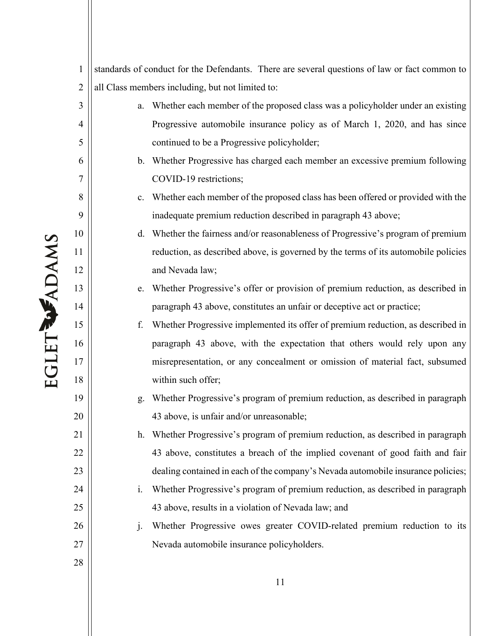| 1              |                | standards of conduct for the Defendants. There are several questions of law or fact common to |
|----------------|----------------|-----------------------------------------------------------------------------------------------|
| $\overline{2}$ |                | all Class members including, but not limited to:                                              |
| 3              | a.             | Whether each member of the proposed class was a policyholder under an existing                |
| $\overline{4}$ |                | Progressive automobile insurance policy as of March 1, 2020, and has since                    |
| 5              |                | continued to be a Progressive policyholder;                                                   |
| 6              | b.             | Whether Progressive has charged each member an excessive premium following                    |
| 7              |                | COVID-19 restrictions;                                                                        |
| 8              |                | c. Whether each member of the proposed class has been offered or provided with the            |
| 9              |                | inadequate premium reduction described in paragraph 43 above;                                 |
| 10             |                | d. Whether the fairness and/or reasonableness of Progressive's program of premium             |
| 11             |                | reduction, as described above, is governed by the terms of its automobile policies            |
| 12             |                | and Nevada law;                                                                               |
| 13             |                | e. Whether Progressive's offer or provision of premium reduction, as described in             |
| 14             |                | paragraph 43 above, constitutes an unfair or deceptive act or practice;                       |
| 15             | f.             | Whether Progressive implemented its offer of premium reduction, as described in               |
| 16             |                | paragraph 43 above, with the expectation that others would rely upon any                      |
| 17             |                | misrepresentation, or any concealment or omission of material fact, subsumed                  |
| 18             |                | within such offer;                                                                            |
| 19             | g.             | Whether Progressive's program of premium reduction, as described in paragraph                 |
| 20             |                | 43 above, is unfair and/or unreasonable;                                                      |
| 21             | h.             | Whether Progressive's program of premium reduction, as described in paragraph                 |
| 22             |                | 43 above, constitutes a breach of the implied covenant of good faith and fair                 |
| 23             |                | dealing contained in each of the company's Nevada automobile insurance policies;              |
| 24             | $\mathbf{i}$ . | Whether Progressive's program of premium reduction, as described in paragraph                 |
| 25             |                | 43 above, results in a violation of Nevada law; and                                           |
| 26             | j.             | Whether Progressive owes greater COVID-related premium reduction to its                       |
| 27             |                | Nevada automobile insurance policyholders.                                                    |
| 28             |                |                                                                                               |
|                |                |                                                                                               |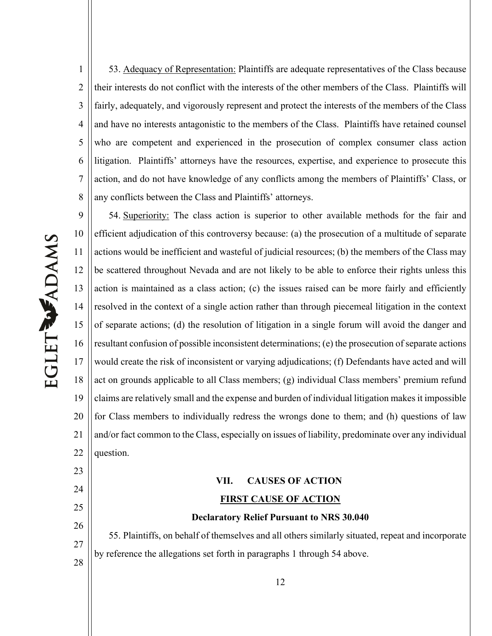1 2 3 4 5 6 7 8 53. Adequacy of Representation: Plaintiffs are adequate representatives of the Class because their interests do not conflict with the interests of the other members of the Class. Plaintiffs will fairly, adequately, and vigorously represent and protect the interests of the members of the Class and have no interests antagonistic to the members of the Class. Plaintiffs have retained counsel who are competent and experienced in the prosecution of complex consumer class action litigation. Plaintiffs' attorneys have the resources, expertise, and experience to prosecute this action, and do not have knowledge of any conflicts among the members of Plaintiffs' Class, or any conflicts between the Class and Plaintiffs' attorneys.

9 10 11 12 13 14 15 16 17 18 19 20 21 22 54. Superiority: The class action is superior to other available methods for the fair and efficient adjudication of this controversy because: (a) the prosecution of a multitude of separate actions would be inefficient and wasteful of judicial resources; (b) the members of the Class may be scattered throughout Nevada and are not likely to be able to enforce their rights unless this action is maintained as a class action; (c) the issues raised can be more fairly and efficiently resolved in the context of a single action rather than through piecemeal litigation in the context of separate actions; (d) the resolution of litigation in a single forum will avoid the danger and resultant confusion of possible inconsistent determinations; (e) the prosecution of separate actions would create the risk of inconsistent or varying adjudications; (f) Defendants have acted and will act on grounds applicable to all Class members; (g) individual Class members' premium refund claims are relatively small and the expense and burden of individual litigation makes it impossible for Class members to individually redress the wrongs done to them; and (h) questions of law and/or fact common to the Class, especially on issues of liability, predominate over any individual question.

# **VII. CAUSES OF ACTION FIRST CAUSE OF ACTION**

### **Declaratory Relief Pursuant to NRS 30.040**

55. Plaintiffs, on behalf of themselves and all others similarly situated, repeat and incorporate by reference the allegations set forth in paragraphs 1 through 54 above.

EGLET WADAMS

23

24

25

26

27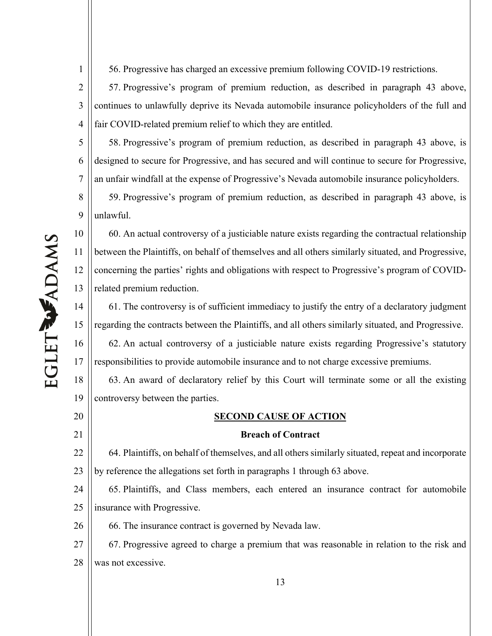EGLET WADAMS

1

8

9

11

12

20

21

56. Progressive has charged an excessive premium following COVID-19 restrictions.

2 3 4 57. Progressive's program of premium reduction, as described in paragraph 43 above, continues to unlawfully deprive its Nevada automobile insurance policyholders of the full and fair COVID-related premium relief to which they are entitled.

5 6 7 58. Progressive's program of premium reduction, as described in paragraph 43 above, is designed to secure for Progressive, and has secured and will continue to secure for Progressive, an unfair windfall at the expense of Progressive's Nevada automobile insurance policyholders.

59. Progressive's program of premium reduction, as described in paragraph 43 above, is unlawful.

10 13 60. An actual controversy of a justiciable nature exists regarding the contractual relationship between the Plaintiffs, on behalf of themselves and all others similarly situated, and Progressive, concerning the parties' rights and obligations with respect to Progressive's program of COVIDrelated premium reduction.

14 15 16 17 61. The controversy is of sufficient immediacy to justify the entry of a declaratory judgment regarding the contracts between the Plaintiffs, and all others similarly situated, and Progressive. 62. An actual controversy of a justiciable nature exists regarding Progressive's statutory responsibilities to provide automobile insurance and to not charge excessive premiums.

18 19 63. An award of declaratory relief by this Court will terminate some or all the existing controversy between the parties.

### **SECOND CAUSE OF ACTION**

### **Breach of Contract**

22 23 64. Plaintiffs, on behalf of themselves, and all others similarly situated, repeat and incorporate by reference the allegations set forth in paragraphs 1 through 63 above.

24 25 65. Plaintiffs, and Class members, each entered an insurance contract for automobile insurance with Progressive.

26 66. The insurance contract is governed by Nevada law.

27 28 67. Progressive agreed to charge a premium that was reasonable in relation to the risk and was not excessive.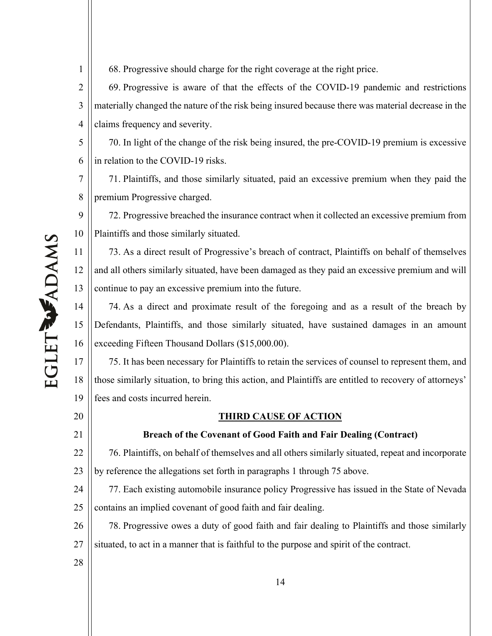68. Progressive should charge for the right coverage at the right price.

2 3 4 69. Progressive is aware of that the effects of the COVID-19 pandemic and restrictions materially changed the nature of the risk being insured because there was material decrease in the claims frequency and severity.

5 6 70. In light of the change of the risk being insured, the pre-COVID-19 premium is excessive in relation to the COVID-19 risks.

7 8 71. Plaintiffs, and those similarly situated, paid an excessive premium when they paid the premium Progressive charged.

9 10 72. Progressive breached the insurance contract when it collected an excessive premium from Plaintiffs and those similarly situated.

11 12 13 73. As a direct result of Progressive's breach of contract, Plaintiffs on behalf of themselves and all others similarly situated, have been damaged as they paid an excessive premium and will continue to pay an excessive premium into the future.

14 15 16 74. As a direct and proximate result of the foregoing and as a result of the breach by Defendants, Plaintiffs, and those similarly situated, have sustained damages in an amount exceeding Fifteen Thousand Dollars (\$15,000.00).

17 18 19 75. It has been necessary for Plaintiffs to retain the services of counsel to represent them, and those similarly situation, to bring this action, and Plaintiffs are entitled to recovery of attorneys' fees and costs incurred herein.

**THIRD CAUSE OF ACTION**

### **Breach of the Covenant of Good Faith and Fair Dealing (Contract)**

22 23 76. Plaintiffs, on behalf of themselves and all others similarly situated, repeat and incorporate by reference the allegations set forth in paragraphs 1 through 75 above.

24 25 77. Each existing automobile insurance policy Progressive has issued in the State of Nevada contains an implied covenant of good faith and fair dealing.

26 27 78. Progressive owes a duty of good faith and fair dealing to Plaintiffs and those similarly situated, to act in a manner that is faithful to the purpose and spirit of the contract.

20

21

28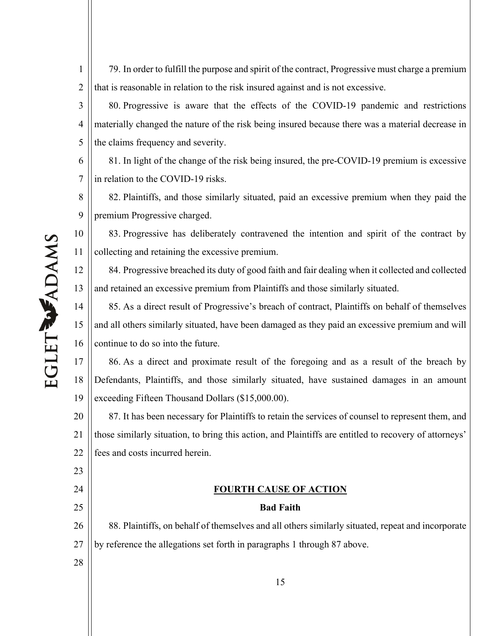79. In order to fulfill the purpose and spirit of the contract, Progressive must charge a premium that is reasonable in relation to the risk insured against and is not excessive.

3 4 5 80. Progressive is aware that the effects of the COVID-19 pandemic and restrictions materially changed the nature of the risk being insured because there was a material decrease in the claims frequency and severity.

6 7 81. In light of the change of the risk being insured, the pre-COVID-19 premium is excessive in relation to the COVID-19 risks.

8 9 82. Plaintiffs, and those similarly situated, paid an excessive premium when they paid the premium Progressive charged.

83. Progressive has deliberately contravened the intention and spirit of the contract by collecting and retaining the excessive premium.

84. Progressive breached its duty of good faith and fair dealing when it collected and collected and retained an excessive premium from Plaintiffs and those similarly situated.

14 15 16 85. As a direct result of Progressive's breach of contract, Plaintiffs on behalf of themselves and all others similarly situated, have been damaged as they paid an excessive premium and will continue to do so into the future.

17 18 19 86. As a direct and proximate result of the foregoing and as a result of the breach by Defendants, Plaintiffs, and those similarly situated, have sustained damages in an amount exceeding Fifteen Thousand Dollars (\$15,000.00).

20 21 22 87. It has been necessary for Plaintiffs to retain the services of counsel to represent them, and those similarly situation, to bring this action, and Plaintiffs are entitled to recovery of attorneys' fees and costs incurred herein.

### **FOURTH CAUSE OF ACTION**

### **Bad Faith**

26 27 88. Plaintiffs, on behalf of themselves and all others similarly situated, repeat and incorporate by reference the allegations set forth in paragraphs 1 through 87 above.

EGLET WADAMS

1

2

10

11

12

13

23

24

25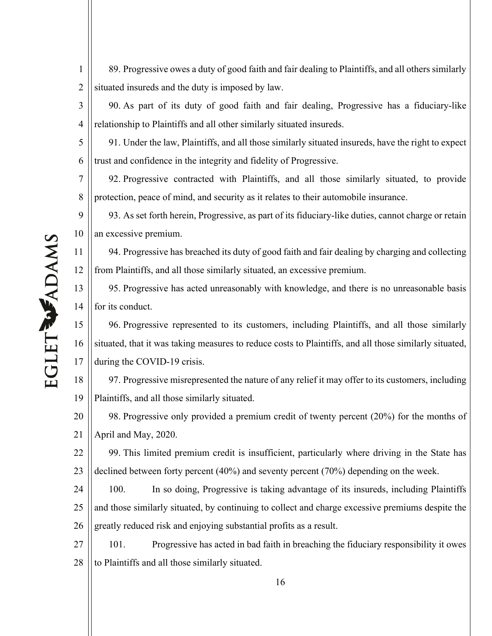89. Progressive owes a duty of good faith and fair dealing to Plaintiffs, and all others similarly situated insureds and the duty is imposed by law.

3 90. As part of its duty of good faith and fair dealing, Progressive has a fiduciary-like relationship to Plaintiffs and all other similarly situated insureds.

5 6 91. Under the law, Plaintiffs, and all those similarly situated insureds, have the right to expect trust and confidence in the integrity and fidelity of Progressive.

7 92. Progressive contracted with Plaintiffs, and all those similarly situated, to provide protection, peace of mind, and security as it relates to their automobile insurance.

9 10 93. As set forth herein, Progressive, as part of its fiduciary-like duties, cannot charge or retain an excessive premium.

12 94. Progressive has breached its duty of good faith and fair dealing by charging and collecting from Plaintiffs, and all those similarly situated, an excessive premium.

13 14 95. Progressive has acted unreasonably with knowledge, and there is no unreasonable basis for its conduct.

15 16 17 96. Progressive represented to its customers, including Plaintiffs, and all those similarly situated, that it was taking measures to reduce costs to Plaintiffs, and all those similarly situated, during the COVID-19 crisis.

18 19 97. Progressive misrepresented the nature of any relief it may offer to its customers, including Plaintiffs, and all those similarly situated.

20 21 98. Progressive only provided a premium credit of twenty percent (20%) for the months of April and May, 2020.

22 23 99. This limited premium credit is insufficient, particularly where driving in the State has declined between forty percent (40%) and seventy percent (70%) depending on the week.

24 25 26 100. In so doing, Progressive is taking advantage of its insureds, including Plaintiffs and those similarly situated, by continuing to collect and charge excessive premiums despite the greatly reduced risk and enjoying substantial profits as a result.

27 28 101. Progressive has acted in bad faith in breaching the fiduciary responsibility it owes to Plaintiffs and all those similarly situated.

1

2

4

8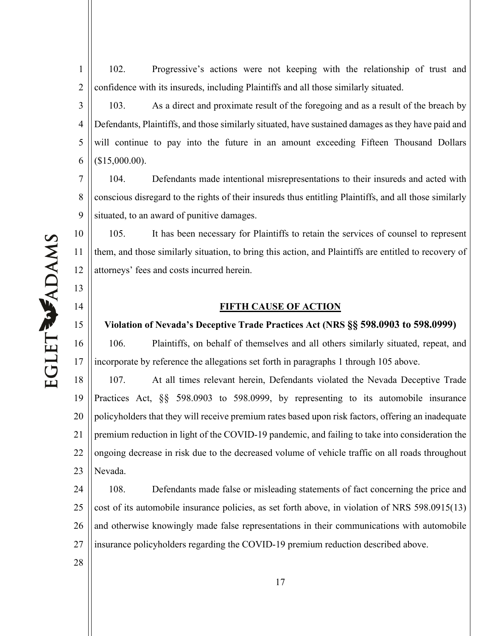102. Progressive's actions were not keeping with the relationship of trust and confidence with its insureds, including Plaintiffs and all those similarly situated.

3 4 5 6 103. As a direct and proximate result of the foregoing and as a result of the breach by Defendants, Plaintiffs, and those similarly situated, have sustained damages as they have paid and will continue to pay into the future in an amount exceeding Fifteen Thousand Dollars (\$15,000.00).

7 8 9 104. Defendants made intentional misrepresentations to their insureds and acted with conscious disregard to the rights of their insureds thus entitling Plaintiffs, and all those similarly situated, to an award of punitive damages.

105. It has been necessary for Plaintiffs to retain the services of counsel to represent them, and those similarly situation, to bring this action, and Plaintiffs are entitled to recovery of attorneys' fees and costs incurred herein.

### **FIFTH CAUSE OF ACTION**

### **Violation of Nevada's Deceptive Trade Practices Act (NRS §§ 598.0903 to 598.0999)**

106. Plaintiffs, on behalf of themselves and all others similarly situated, repeat, and incorporate by reference the allegations set forth in paragraphs 1 through 105 above.

18 19 20 21 22 23 107. At all times relevant herein, Defendants violated the Nevada Deceptive Trade Practices Act, §§ 598.0903 to 598.0999, by representing to its automobile insurance policyholders that they will receive premium rates based upon risk factors, offering an inadequate premium reduction in light of the COVID-19 pandemic, and failing to take into consideration the ongoing decrease in risk due to the decreased volume of vehicle traffic on all roads throughout Nevada.

24 25 26 27 108. Defendants made false or misleading statements of fact concerning the price and cost of its automobile insurance policies, as set forth above, in violation of NRS 598.0915(13) and otherwise knowingly made false representations in their communications with automobile insurance policyholders regarding the COVID-19 premium reduction described above.

EGLET WADAMS

1

2

10

11

12

13

14

15

16

17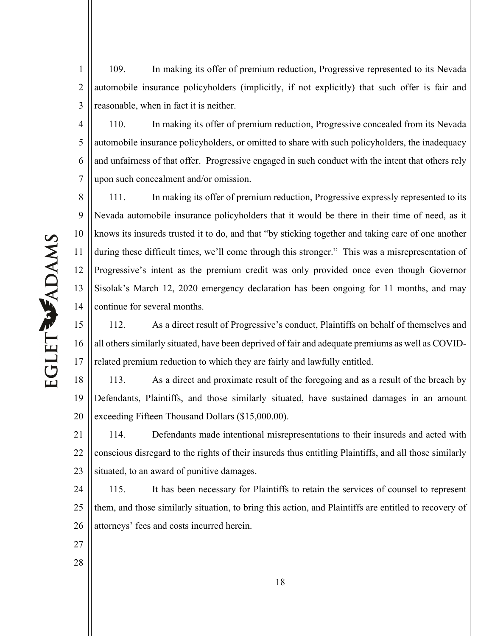1 2 3 109. In making its offer of premium reduction, Progressive represented to its Nevada automobile insurance policyholders (implicitly, if not explicitly) that such offer is fair and reasonable, when in fact it is neither.

4 5 6 7 110. In making its offer of premium reduction, Progressive concealed from its Nevada automobile insurance policyholders, or omitted to share with such policyholders, the inadequacy and unfairness of that offer. Progressive engaged in such conduct with the intent that others rely upon such concealment and/or omission.

8 9 10 11 12 13 14 111. In making its offer of premium reduction, Progressive expressly represented to its Nevada automobile insurance policyholders that it would be there in their time of need, as it knows its insureds trusted it to do, and that "by sticking together and taking care of one another during these difficult times, we'll come through this stronger." This was a misrepresentation of Progressive's intent as the premium credit was only provided once even though Governor Sisolak's March 12, 2020 emergency declaration has been ongoing for 11 months, and may continue for several months.

15 16 17 112. As a direct result of Progressive's conduct, Plaintiffs on behalf of themselves and all others similarly situated, have been deprived of fair and adequate premiums as well as COVIDrelated premium reduction to which they are fairly and lawfully entitled.

18 19 20 113. As a direct and proximate result of the foregoing and as a result of the breach by Defendants, Plaintiffs, and those similarly situated, have sustained damages in an amount exceeding Fifteen Thousand Dollars (\$15,000.00).

21 22 23 114. Defendants made intentional misrepresentations to their insureds and acted with conscious disregard to the rights of their insureds thus entitling Plaintiffs, and all those similarly situated, to an award of punitive damages.

24 25 26 115. It has been necessary for Plaintiffs to retain the services of counsel to represent them, and those similarly situation, to bring this action, and Plaintiffs are entitled to recovery of attorneys' fees and costs incurred herein.

- 27
- 28

EGLET WADAMS